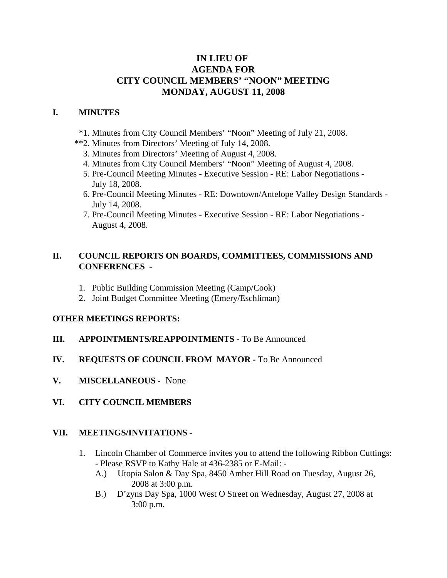# **IN LIEU OF AGENDA FOR CITY COUNCIL MEMBERS' "NOON" MEETING MONDAY, AUGUST 11, 2008**

### **I. MINUTES**

- \*1. Minutes from City Council Members' "Noon" Meeting of July 21, 2008.
- \*\*2. Minutes from Directors' Meeting of July 14, 2008.
	- 3. Minutes from Directors' Meeting of August 4, 2008.
	- 4. Minutes from City Council Members' "Noon" Meeting of August 4, 2008.
	- 5. Pre-Council Meeting Minutes Executive Session RE: Labor Negotiations July 18, 2008.
	- 6. Pre-Council Meeting Minutes RE: Downtown/Antelope Valley Design Standards July 14, 2008.
	- 7. Pre-Council Meeting Minutes Executive Session RE: Labor Negotiations August 4, 2008.

### **II. COUNCIL REPORTS ON BOARDS, COMMITTEES, COMMISSIONS AND CONFERENCES** -

- 1. Public Building Commission Meeting (Camp/Cook)
- 2. Joint Budget Committee Meeting (Emery/Eschliman)

### **OTHER MEETINGS REPORTS:**

- **III.** APPOINTMENTS/REAPPOINTMENTS To Be Announced
- **IV. REQUESTS OF COUNCIL FROM MAYOR -** To Be Announced
- **V. MISCELLANEOUS -** None
- **VI. CITY COUNCIL MEMBERS**

#### **VII. MEETINGS/INVITATIONS** -

- 1. Lincoln Chamber of Commerce invites you to attend the following Ribbon Cuttings: - Please RSVP to Kathy Hale at 436-2385 or E-Mail: -
	- A.) Utopia Salon & Day Spa, 8450 Amber Hill Road on Tuesday, August 26, 2008 at 3:00 p.m.
	- B.) D'zyns Day Spa, 1000 West O Street on Wednesday, August 27, 2008 at 3:00 p.m.